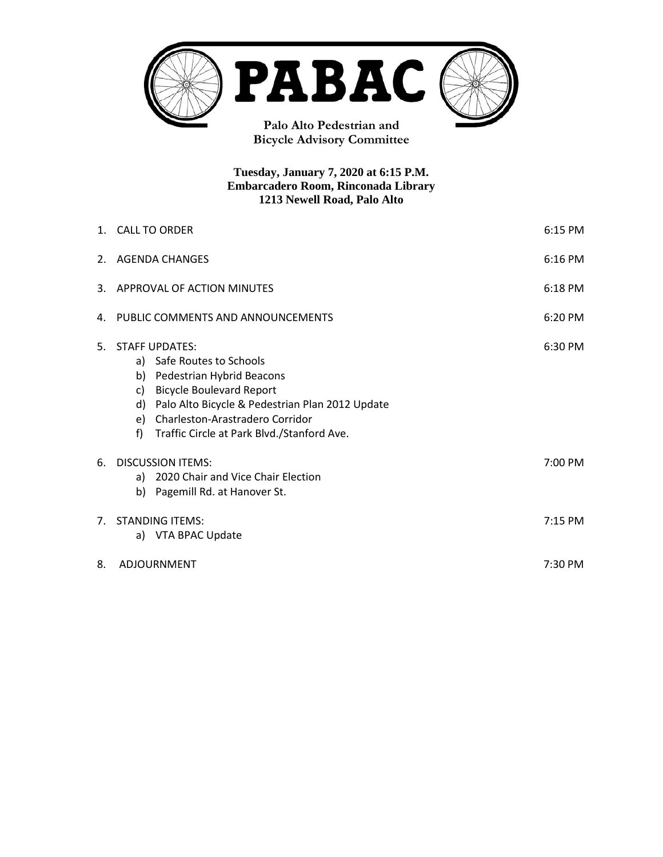

**Bicycle Advisory Committee**

**Tuesday, January 7, 2020 at 6:15 P.M. Embarcadero Room, Rinconada Library 1213 Newell Road, Palo Alto**

|                | 1. CALL TO ORDER<br>6:15 PM                                                                                                                                                                                                                                                   |  |  |  |
|----------------|-------------------------------------------------------------------------------------------------------------------------------------------------------------------------------------------------------------------------------------------------------------------------------|--|--|--|
| 2.             | AGENDA CHANGES<br>$6:16$ PM                                                                                                                                                                                                                                                   |  |  |  |
| 3.             | APPROVAL OF ACTION MINUTES<br>6:18 PM                                                                                                                                                                                                                                         |  |  |  |
| 4.             | PUBLIC COMMENTS AND ANNOUNCEMENTS<br>6:20 PM                                                                                                                                                                                                                                  |  |  |  |
| 5.             | <b>STAFF UPDATES:</b><br>a) Safe Routes to Schools<br>b) Pedestrian Hybrid Beacons<br><b>Bicycle Boulevard Report</b><br>C)<br>Palo Alto Bicycle & Pedestrian Plan 2012 Update<br>d)<br>e) Charleston-Arastradero Corridor<br>f<br>Traffic Circle at Park Blvd./Stanford Ave. |  |  |  |
| 6.             | <b>DISCUSSION ITEMS:</b><br>a) 2020 Chair and Vice Chair Election<br>Pagemill Rd. at Hanover St.<br>b)                                                                                                                                                                        |  |  |  |
| 7 <sup>1</sup> | <b>STANDING ITEMS:</b><br>$7:15$ PM<br>a) VTA BPAC Update                                                                                                                                                                                                                     |  |  |  |
| 8.             | ADJOURNMENT<br>$7:30$ PM                                                                                                                                                                                                                                                      |  |  |  |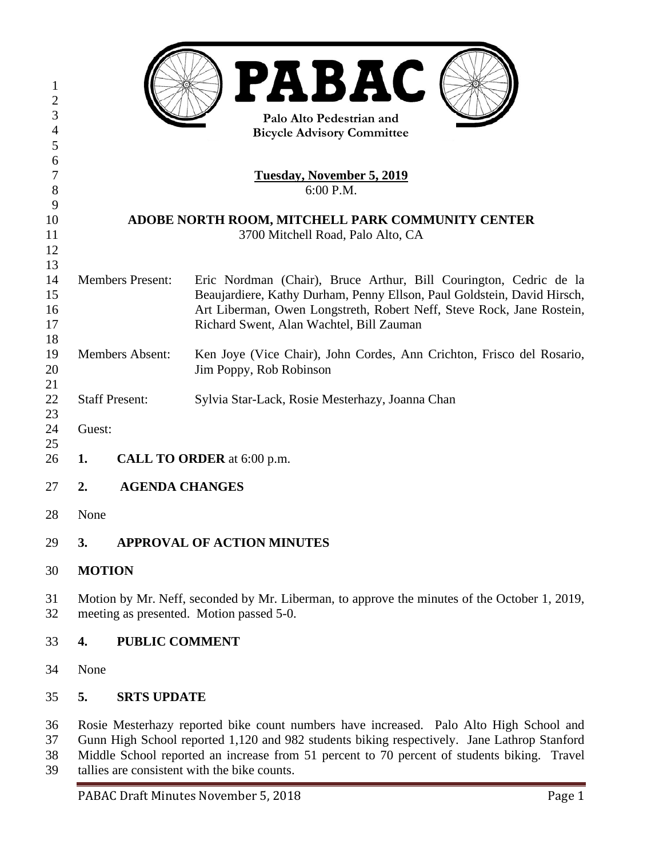| 1<br>$\overline{\mathbf{c}}$<br>3 | <b>PABAC</b><br>Palo Alto Pedestrian and                                                                                                                                              |                       |                                                                                                                                          |  |  |
|-----------------------------------|---------------------------------------------------------------------------------------------------------------------------------------------------------------------------------------|-----------------------|------------------------------------------------------------------------------------------------------------------------------------------|--|--|
| $\overline{4}$                    | <b>Bicycle Advisory Committee</b>                                                                                                                                                     |                       |                                                                                                                                          |  |  |
| 5                                 |                                                                                                                                                                                       |                       |                                                                                                                                          |  |  |
| 6                                 |                                                                                                                                                                                       |                       |                                                                                                                                          |  |  |
| $\tau$<br>$8\,$                   | <b>Tuesday, November 5, 2019</b><br>6:00 P.M.                                                                                                                                         |                       |                                                                                                                                          |  |  |
| 9                                 |                                                                                                                                                                                       |                       |                                                                                                                                          |  |  |
| 10                                | ADOBE NORTH ROOM, MITCHELL PARK COMMUNITY CENTER                                                                                                                                      |                       |                                                                                                                                          |  |  |
| 11                                | 3700 Mitchell Road, Palo Alto, CA                                                                                                                                                     |                       |                                                                                                                                          |  |  |
| 12                                |                                                                                                                                                                                       |                       |                                                                                                                                          |  |  |
| 13                                |                                                                                                                                                                                       |                       |                                                                                                                                          |  |  |
| 14                                | <b>Members Present:</b>                                                                                                                                                               |                       | Eric Nordman (Chair), Bruce Arthur, Bill Courington, Cedric de la                                                                        |  |  |
| 15                                |                                                                                                                                                                                       |                       | Beaujardiere, Kathy Durham, Penny Ellson, Paul Goldstein, David Hirsch,                                                                  |  |  |
| 16                                |                                                                                                                                                                                       |                       | Art Liberman, Owen Longstreth, Robert Neff, Steve Rock, Jane Rostein,                                                                    |  |  |
| 17                                |                                                                                                                                                                                       |                       | Richard Swent, Alan Wachtel, Bill Zauman                                                                                                 |  |  |
| 18                                |                                                                                                                                                                                       |                       |                                                                                                                                          |  |  |
| 19                                | <b>Members Absent:</b>                                                                                                                                                                |                       | Ken Joye (Vice Chair), John Cordes, Ann Crichton, Frisco del Rosario,                                                                    |  |  |
| 20                                |                                                                                                                                                                                       |                       | Jim Poppy, Rob Robinson                                                                                                                  |  |  |
| 21                                |                                                                                                                                                                                       |                       |                                                                                                                                          |  |  |
| 22                                |                                                                                                                                                                                       | <b>Staff Present:</b> | Sylvia Star-Lack, Rosie Mesterhazy, Joanna Chan                                                                                          |  |  |
| 23                                |                                                                                                                                                                                       |                       |                                                                                                                                          |  |  |
| 24                                | Guest:                                                                                                                                                                                |                       |                                                                                                                                          |  |  |
| 25                                |                                                                                                                                                                                       |                       |                                                                                                                                          |  |  |
| 26                                | 1.                                                                                                                                                                                    |                       | CALL TO ORDER at 6:00 p.m.                                                                                                               |  |  |
| 27                                | 2.                                                                                                                                                                                    | <b>AGENDA CHANGES</b> |                                                                                                                                          |  |  |
|                                   |                                                                                                                                                                                       |                       |                                                                                                                                          |  |  |
| 28                                | None                                                                                                                                                                                  |                       |                                                                                                                                          |  |  |
|                                   |                                                                                                                                                                                       |                       |                                                                                                                                          |  |  |
| 29                                | 3.                                                                                                                                                                                    |                       | <b>APPROVAL OF ACTION MINUTES</b>                                                                                                        |  |  |
|                                   |                                                                                                                                                                                       |                       |                                                                                                                                          |  |  |
| 30                                | <b>MOTION</b>                                                                                                                                                                         |                       |                                                                                                                                          |  |  |
|                                   |                                                                                                                                                                                       |                       |                                                                                                                                          |  |  |
| 31<br>32                          |                                                                                                                                                                                       |                       | Motion by Mr. Neff, seconded by Mr. Liberman, to approve the minutes of the October 1, 2019,<br>meeting as presented. Motion passed 5-0. |  |  |
|                                   |                                                                                                                                                                                       |                       |                                                                                                                                          |  |  |
| 33                                | 4.                                                                                                                                                                                    | <b>PUBLIC COMMENT</b> |                                                                                                                                          |  |  |
|                                   |                                                                                                                                                                                       |                       |                                                                                                                                          |  |  |
| 34                                | None                                                                                                                                                                                  |                       |                                                                                                                                          |  |  |
|                                   |                                                                                                                                                                                       |                       |                                                                                                                                          |  |  |
| 35                                | 5.                                                                                                                                                                                    | <b>SRTS UPDATE</b>    |                                                                                                                                          |  |  |
|                                   |                                                                                                                                                                                       |                       |                                                                                                                                          |  |  |
| 36<br>37                          | Rosie Mesterhazy reported bike count numbers have increased. Palo Alto High School and<br>Gunn High School reported 1,120 and 982 students biking respectively. Jane Lathrop Stanford |                       |                                                                                                                                          |  |  |
| 38                                | Middle School reported an increase from 51 percent to 70 percent of students biking. Travel                                                                                           |                       |                                                                                                                                          |  |  |
|                                   |                                                                                                                                                                                       |                       |                                                                                                                                          |  |  |

tallies are consistent with the bike counts.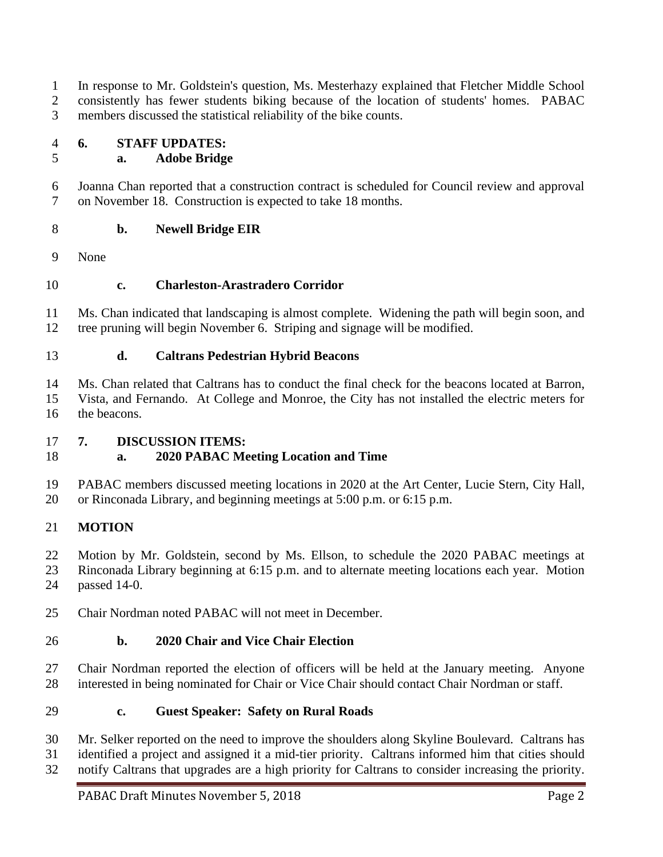In response to Mr. Goldstein's question, Ms. Mesterhazy explained that Fletcher Middle School consistently has fewer students biking because of the location of students' homes. PABAC members discussed the statistical reliability of the bike counts.

**6. STAFF UPDATES:**

# **a. Adobe Bridge**

 Joanna Chan reported that a construction contract is scheduled for Council review and approval on November 18. Construction is expected to take 18 months.

- **b. Newell Bridge EIR**
- None
- **c. Charleston-Arastradero Corridor**

 Ms. Chan indicated that landscaping is almost complete. Widening the path will begin soon, and tree pruning will begin November 6. Striping and signage will be modified.

**d. Caltrans Pedestrian Hybrid Beacons**

 Ms. Chan related that Caltrans has to conduct the final check for the beacons located at Barron, Vista, and Fernando. At College and Monroe, the City has not installed the electric meters for the beacons.

# **7. DISCUSSION ITEMS:**

# **a. 2020 PABAC Meeting Location and Time**

 PABAC members discussed meeting locations in 2020 at the Art Center, Lucie Stern, City Hall, or Rinconada Library, and beginning meetings at 5:00 p.m. or 6:15 p.m.

# **MOTION**

22 Motion by Mr. Goldstein, second by Ms. Ellson, to schedule the 2020 PABAC meetings at Rinconada Library beginning at 6:15 p.m. and to alternate meeting locations each year. Motion passed 14-0.

Chair Nordman noted PABAC will not meet in December.

# **b. 2020 Chair and Vice Chair Election**

 Chair Nordman reported the election of officers will be held at the January meeting. Anyone interested in being nominated for Chair or Vice Chair should contact Chair Nordman or staff.

## **c. Guest Speaker: Safety on Rural Roads**

 Mr. Selker reported on the need to improve the shoulders along Skyline Boulevard. Caltrans has identified a project and assigned it a mid-tier priority. Caltrans informed him that cities should

notify Caltrans that upgrades are a high priority for Caltrans to consider increasing the priority.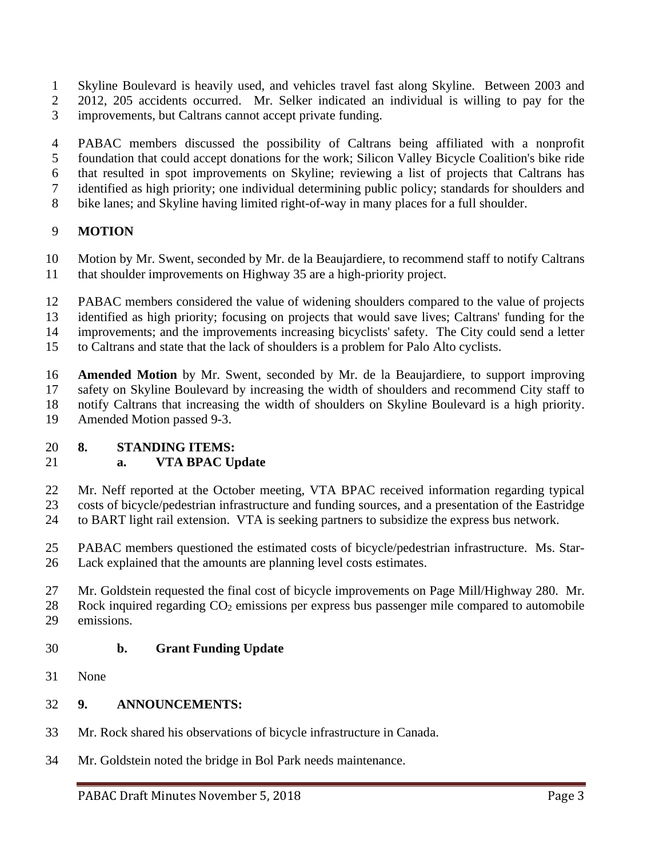- Skyline Boulevard is heavily used, and vehicles travel fast along Skyline. Between 2003 and
- 2012, 205 accidents occurred. Mr. Selker indicated an individual is willing to pay for the improvements, but Caltrans cannot accept private funding.
- PABAC members discussed the possibility of Caltrans being affiliated with a nonprofit foundation that could accept donations for the work; Silicon Valley Bicycle Coalition's bike ride
- that resulted in spot improvements on Skyline; reviewing a list of projects that Caltrans has
- identified as high priority; one individual determining public policy; standards for shoulders and
- bike lanes; and Skyline having limited right-of-way in many places for a full shoulder.

## **MOTION**

- Motion by Mr. Swent, seconded by Mr. de la Beaujardiere, to recommend staff to notify Caltrans
- that shoulder improvements on Highway 35 are a high-priority project.
- PABAC members considered the value of widening shoulders compared to the value of projects
- identified as high priority; focusing on projects that would save lives; Caltrans' funding for the
- improvements; and the improvements increasing bicyclists' safety. The City could send a letter
- to Caltrans and state that the lack of shoulders is a problem for Palo Alto cyclists.
- **Amended Motion** by Mr. Swent, seconded by Mr. de la Beaujardiere, to support improving safety on Skyline Boulevard by increasing the width of shoulders and recommend City staff to notify Caltrans that increasing the width of shoulders on Skyline Boulevard is a high priority. Amended Motion passed 9-3.

## **8. STANDING ITEMS:**

## **a. VTA BPAC Update**

- Mr. Neff reported at the October meeting, VTA BPAC received information regarding typical costs of bicycle/pedestrian infrastructure and funding sources, and a presentation of the Eastridge
- to BART light rail extension. VTA is seeking partners to subsidize the express bus network.
- PABAC members questioned the estimated costs of bicycle/pedestrian infrastructure. Ms. Star-Lack explained that the amounts are planning level costs estimates.
- Mr. Goldstein requested the final cost of bicycle improvements on Page Mill/Highway 280. Mr.
- 28 Rock inquired regarding CO<sub>2</sub> emissions per express bus passenger mile compared to automobile emissions.

## **b. Grant Funding Update**

None

## **9. ANNOUNCEMENTS:**

- Mr. Rock shared his observations of bicycle infrastructure in Canada.
- Mr. Goldstein noted the bridge in Bol Park needs maintenance.